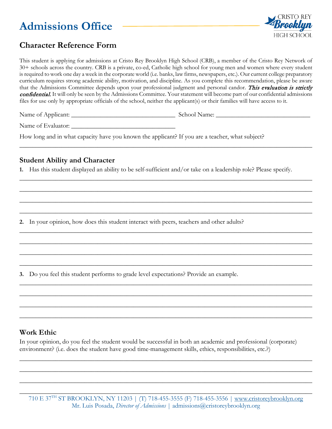# **Admissions Office**



# **Character Reference Form**

This student is applying for admissions at Cristo Rey Brooklyn High School (CRB), a member of the Cristo Rey Network of 30+ schools across the country. CRB is a private, co-ed, Catholic high school for young men and women where every student is required to work one day a week in the corporate world (i.e. banks, law firms, newspapers, etc.). Our current college preparatory curriculum requires strong academic ability, motivation, and discipline. As you complete this recommendation, please be aware that the Admissions Committee depends upon your professional judgment and personal candor. This evaluation is strictly confidential. It will only be seen by the Admissions Committee. Your statement will become part of our confidential admissions files for use only by appropriate officials of the school, neither the applicant(s) or their families will have access to it.

 $\_$  , and the contribution of the contribution of  $\mathcal{L}$  , and  $\mathcal{L}$  , and  $\mathcal{L}$  , and  $\mathcal{L}$  , and  $\mathcal{L}$ 

**\_\_\_\_\_\_\_\_\_\_\_\_\_\_\_\_\_\_\_\_\_\_\_\_\_\_\_\_\_\_\_\_\_\_\_\_\_\_\_\_\_\_\_\_\_\_\_\_\_\_\_\_\_\_\_\_\_\_\_\_\_\_\_\_\_\_\_\_\_\_\_\_\_\_\_\_\_\_\_\_\_\_\_\_\_\_\_\_\_\_**

**\_\_\_\_\_\_\_\_\_\_\_\_\_\_\_\_\_\_\_\_\_\_\_\_\_\_\_\_\_\_\_\_\_\_\_\_\_\_\_\_\_\_\_\_\_\_\_\_\_\_\_\_\_\_\_\_\_\_\_\_\_\_\_\_\_\_\_\_\_\_\_\_\_\_\_\_\_\_\_\_\_\_\_\_\_\_\_\_\_\_**

**\_\_\_\_\_\_\_\_\_\_\_\_\_\_\_\_\_\_\_\_\_\_\_\_\_\_\_\_\_\_\_\_\_\_\_\_\_\_\_\_\_\_\_\_\_\_\_\_\_\_\_\_\_\_\_\_\_\_\_\_\_\_\_\_\_\_\_\_\_\_\_\_\_\_\_\_\_\_\_\_\_\_\_\_\_\_\_\_\_\_**

**\_\_\_\_\_\_\_\_\_\_\_\_\_\_\_\_\_\_\_\_\_\_\_\_\_\_\_\_\_\_\_\_\_\_\_\_\_\_\_\_\_\_\_\_\_\_\_\_\_\_\_\_\_\_\_\_\_\_\_\_\_\_\_\_\_\_\_\_\_\_\_\_\_\_\_\_\_\_\_\_\_\_\_\_\_\_\_\_\_\_**

**\_\_\_\_\_\_\_\_\_\_\_\_\_\_\_\_\_\_\_\_\_\_\_\_\_\_\_\_\_\_\_\_\_\_\_\_\_\_\_\_\_\_\_\_\_\_\_\_\_\_\_\_\_\_\_\_\_\_\_\_\_\_\_\_\_\_\_\_\_\_\_\_\_\_\_\_\_\_\_\_\_\_\_\_\_\_\_\_\_\_**

**\_\_\_\_\_\_\_\_\_\_\_\_\_\_\_\_\_\_\_\_\_\_\_\_\_\_\_\_\_\_\_\_\_\_\_\_\_\_\_\_\_\_\_\_\_\_\_\_\_\_\_\_\_\_\_\_\_\_\_\_\_\_\_\_\_\_\_\_\_\_\_\_\_\_\_\_\_\_\_\_\_\_\_\_\_\_\_\_\_\_**

**\_\_\_\_\_\_\_\_\_\_\_\_\_\_\_\_\_\_\_\_\_\_\_\_\_\_\_\_\_\_\_\_\_\_\_\_\_\_\_\_\_\_\_\_\_\_\_\_\_\_\_\_\_\_\_\_\_\_\_\_\_\_\_\_\_\_\_\_\_\_\_\_\_\_\_\_\_\_\_\_\_\_\_\_\_\_\_\_\_\_**

**\_\_\_\_\_\_\_\_\_\_\_\_\_\_\_\_\_\_\_\_\_\_\_\_\_\_\_\_\_\_\_\_\_\_\_\_\_\_\_\_\_\_\_\_\_\_\_\_\_\_\_\_\_\_\_\_\_\_\_\_\_\_\_\_\_\_\_\_\_\_\_\_\_\_\_\_\_\_\_\_\_\_\_\_\_\_\_\_\_\_**

**\_\_\_\_\_\_\_\_\_\_\_\_\_\_\_\_\_\_\_\_\_\_\_\_\_\_\_\_\_\_\_\_\_\_\_\_\_\_\_\_\_\_\_\_\_\_\_\_\_\_\_\_\_\_\_\_\_\_\_\_\_\_\_\_\_\_\_\_\_\_\_\_\_\_\_\_\_\_\_\_\_\_\_\_\_\_\_\_\_\_**

**\_\_\_\_\_\_\_\_\_\_\_\_\_\_\_\_\_\_\_\_\_\_\_\_\_\_\_\_\_\_\_\_\_\_\_\_\_\_\_\_\_\_\_\_\_\_\_\_\_\_\_\_\_\_\_\_\_\_\_\_\_\_\_\_\_\_\_\_\_\_\_\_\_\_\_\_\_\_\_\_\_\_\_\_\_\_\_\_\_\_**

**\_\_\_\_\_\_\_\_\_\_\_\_\_\_\_\_\_\_\_\_\_\_\_\_\_\_\_\_\_\_\_\_\_\_\_\_\_\_\_\_\_\_\_\_\_\_\_\_\_\_\_\_\_\_\_\_\_\_\_\_\_\_\_\_\_\_\_\_\_\_\_\_\_\_\_\_\_\_\_\_\_\_\_\_\_\_\_\_\_\_**

**\_\_\_\_\_\_\_\_\_\_\_\_\_\_\_\_\_\_\_\_\_\_\_\_\_\_\_\_\_\_\_\_\_\_\_\_\_\_\_\_\_\_\_\_\_\_\_\_\_\_\_\_\_\_\_\_\_\_\_\_\_\_\_\_\_\_\_\_\_\_\_\_\_\_\_\_\_\_\_\_\_\_\_\_\_\_\_\_\_\_**

**\_\_\_\_\_\_\_\_\_\_\_\_\_\_\_\_\_\_\_\_\_\_\_\_\_\_\_\_\_\_\_\_\_\_\_\_\_\_\_\_\_\_\_\_\_\_\_\_\_\_\_\_\_\_\_\_\_\_\_\_\_\_\_\_\_\_\_\_\_\_\_\_\_\_\_\_\_\_\_\_\_\_\_\_\_\_\_\_\_\_**

**\_\_\_\_\_\_\_\_\_\_\_\_\_\_\_\_\_\_\_\_\_\_\_\_\_\_\_\_\_\_\_\_\_\_\_\_\_\_\_\_\_\_\_\_\_\_\_\_\_\_\_\_\_\_\_\_\_\_\_\_\_\_\_\_\_\_\_\_\_\_\_\_\_\_\_\_\_\_\_\_\_\_\_\_\_\_\_\_\_\_**

**\_\_\_\_\_\_\_\_\_\_\_\_\_\_\_\_\_\_\_\_\_\_\_\_\_\_\_\_\_\_\_\_\_\_\_\_\_\_\_\_\_\_\_\_\_\_\_\_\_\_\_\_\_\_\_\_\_\_\_\_\_\_\_\_\_\_\_\_\_\_\_\_\_\_\_\_\_\_\_\_\_\_\_\_\_\_\_\_\_\_**

Name of Applicant: \_\_\_\_\_\_\_\_\_\_\_\_\_\_\_\_\_\_\_\_\_\_\_\_\_\_\_\_\_\_\_\_ School Name: \_\_\_\_\_\_\_\_\_\_\_\_\_\_\_\_\_\_\_\_\_\_\_\_\_\_\_\_\_

Name of Evaluator:

How long and in what capacity have you known the applicant? If you are a teacher, what subject?

#### **Student Ability and Character**

**1.** Has this student displayed an ability to be self-sufficient and/or take on a leadership role? Please specify.

**2.** In your opinion, how does this student interact with peers, teachers and other adults?

**3.** Do you feel this student performs to grade level expectations? Provide an example.

### **Work Ethic**

In your opinion, do you feel the student would be successful in both an academic and professional (corporate) environment? (i.e. does the student have good time-management skills, ethics, responsibilities, etc.?)

710 E 37<sup>TH</sup> ST BROOKLYN, NY 11203 | (T) 718-455-3555 (F) 718-455-3556 | [www.cristoreybrooklyn.org](http://www.cristoreybrooklyn.org/) Mr. Luis Posada, *Director of Admissions* | admissions@cristoreybrooklyn.org **\_\_\_\_\_\_\_\_\_\_\_\_\_\_\_\_\_\_\_\_\_\_\_\_\_\_\_\_\_\_\_\_\_\_\_\_\_\_\_\_\_\_\_\_\_\_\_\_\_\_\_\_\_\_\_\_\_\_\_\_\_\_\_\_\_\_\_\_\_\_\_\_\_\_\_\_\_\_\_\_\_\_\_\_\_\_\_\_\_\_**